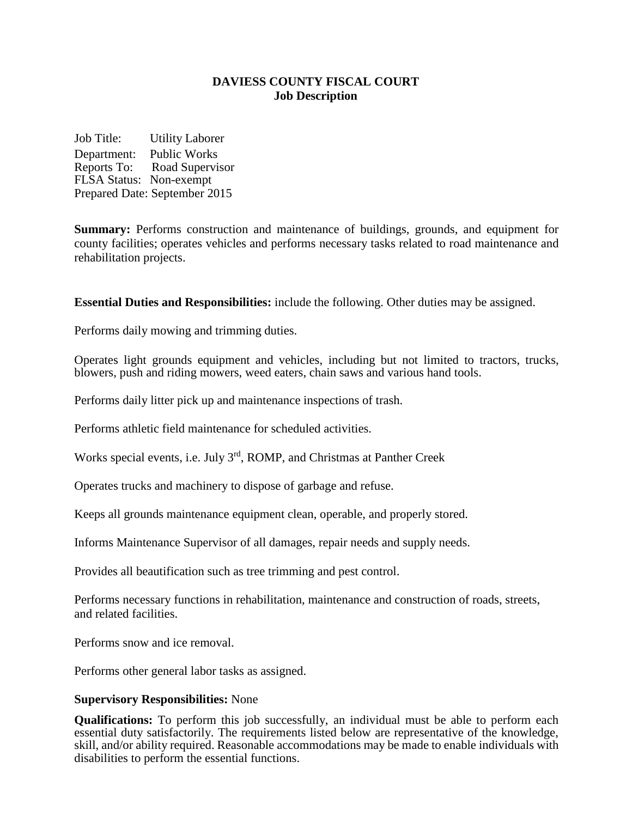# **DAVIESS COUNTY FISCAL COURT Job Description**

Job Title: Utility Laborer Department: Public Works Reports To: Road Supervisor FLSA Status: Non-exempt Prepared Date: September 2015

**Summary:** Performs construction and maintenance of buildings, grounds, and equipment for county facilities; operates vehicles and performs necessary tasks related to road maintenance and rehabilitation projects.

**Essential Duties and Responsibilities:** include the following. Other duties may be assigned.

Performs daily mowing and trimming duties.

Operates light grounds equipment and vehicles, including but not limited to tractors, trucks, blowers, push and riding mowers, weed eaters, chain saws and various hand tools.

Performs daily litter pick up and maintenance inspections of trash.

Performs athletic field maintenance for scheduled activities.

Works special events, i.e. July 3rd, ROMP, and Christmas at Panther Creek

Operates trucks and machinery to dispose of garbage and refuse.

Keeps all grounds maintenance equipment clean, operable, and properly stored.

Informs Maintenance Supervisor of all damages, repair needs and supply needs.

Provides all beautification such as tree trimming and pest control.

Performs necessary functions in rehabilitation, maintenance and construction of roads, streets, and related facilities.

Performs snow and ice removal.

Performs other general labor tasks as assigned.

#### **Supervisory Responsibilities:** None

**Qualifications:** To perform this job successfully, an individual must be able to perform each essential duty satisfactorily. The requirements listed below are representative of the knowledge, skill, and/or ability required. Reasonable accommodations may be made to enable individuals with disabilities to perform the essential functions.